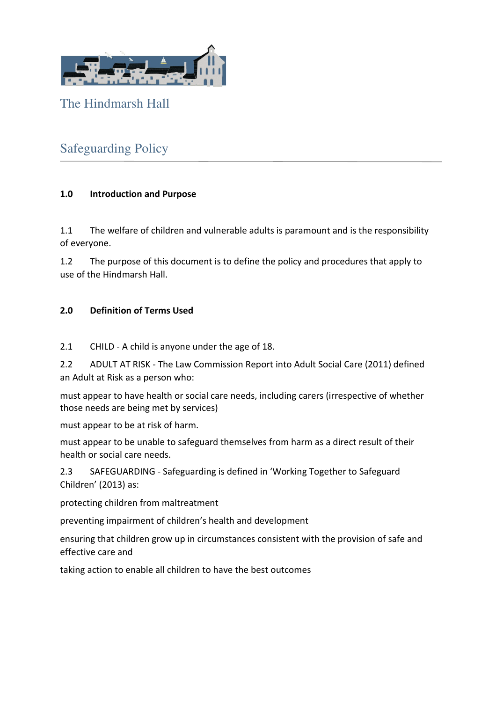

The Hindmarsh Hall

# Safeguarding Policy

## **1.0 Introduction and Purpose**

1.1 The welfare of children and vulnerable adults is paramount and is the responsibility of everyone.

1.2 The purpose of this document is to define the policy and procedures that apply to use of the Hindmarsh Hall.

#### **2.0 Definition of Terms Used**

2.1 CHILD - A child is anyone under the age of 18.

2.2 ADULT AT RISK - The Law Commission Report into Adult Social Care (2011) defined an Adult at Risk as a person who:

must appear to have health or social care needs, including carers (irrespective of whether those needs are being met by services)

must appear to be at risk of harm.

must appear to be unable to safeguard themselves from harm as a direct result of their health or social care needs.

2.3 SAFEGUARDING - Safeguarding is defined in 'Working Together to Safeguard Children' (2013) as:

protecting children from maltreatment

preventing impairment of children's health and development

ensuring that children grow up in circumstances consistent with the provision of safe and effective care and

taking action to enable all children to have the best outcomes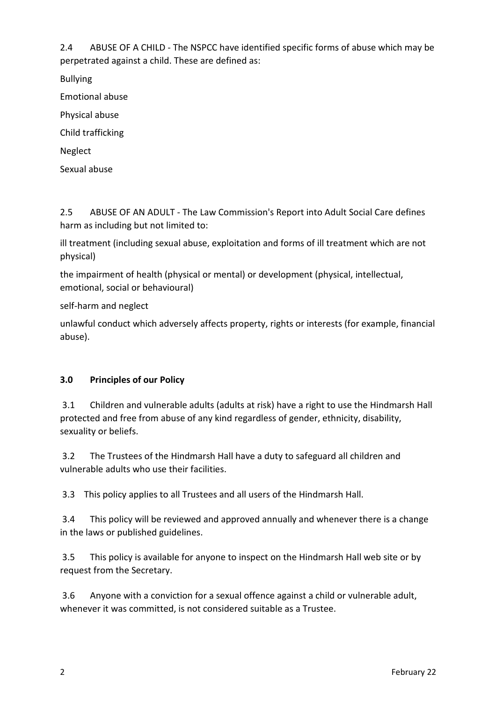2.4 ABUSE OF A CHILD - The NSPCC have identified specific forms of abuse which may be perpetrated against a child. These are defined as:

Bullying

Emotional abuse

Physical abuse

Child trafficking

Neglect

Sexual abuse

2.5 ABUSE OF AN ADULT - The Law Commission's Report into Adult Social Care defines harm as including but not limited to:

ill treatment (including sexual abuse, exploitation and forms of ill treatment which are not physical)

the impairment of health (physical or mental) or development (physical, intellectual, emotional, social or behavioural)

self-harm and neglect

unlawful conduct which adversely affects property, rights or interests (for example, financial abuse).

## **3.0 Principles of our Policy**

 3.1 Children and vulnerable adults (adults at risk) have a right to use the Hindmarsh Hall protected and free from abuse of any kind regardless of gender, ethnicity, disability, sexuality or beliefs.

 3.2 The Trustees of the Hindmarsh Hall have a duty to safeguard all children and vulnerable adults who use their facilities.

3.3 This policy applies to all Trustees and all users of the Hindmarsh Hall.

 3.4 This policy will be reviewed and approved annually and whenever there is a change in the laws or published guidelines.

 3.5 This policy is available for anyone to inspect on the Hindmarsh Hall web site or by request from the Secretary.

 3.6 Anyone with a conviction for a sexual offence against a child or vulnerable adult, whenever it was committed, is not considered suitable as a Trustee.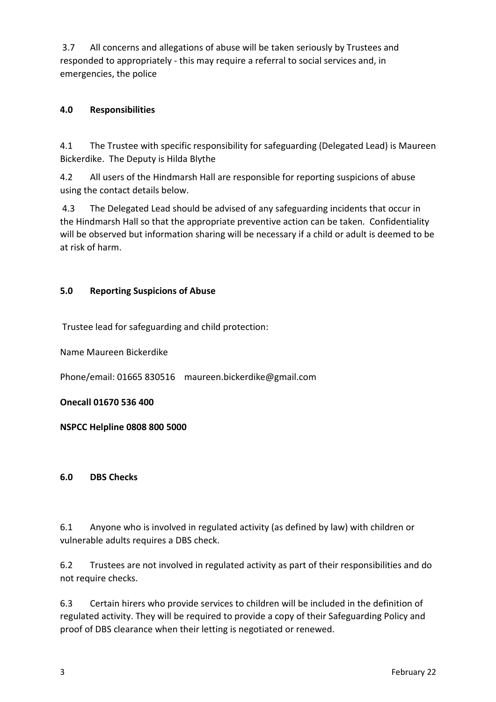3.7 All concerns and allegations of abuse will be taken seriously by Trustees and responded to appropriately - this may require a referral to social services and, in emergencies, the police

## **4.0 Responsibilities**

4.1 The Trustee with specific responsibility for safeguarding (Delegated Lead) is Maureen Bickerdike. The Deputy is Hilda Blythe

4.2 All users of the Hindmarsh Hall are responsible for reporting suspicions of abuse using the contact details below.

 4.3 The Delegated Lead should be advised of any safeguarding incidents that occur in the Hindmarsh Hall so that the appropriate preventive action can be taken. Confidentiality will be observed but information sharing will be necessary if a child or adult is deemed to be at risk of harm.

## **5.0 Reporting Suspicions of Abuse**

Trustee lead for safeguarding and child protection:

Name Maureen Bickerdike

Phone/email: 01665 830516 maureen.bickerdike@gmail.com

**Onecall 01670 536 400**

**NSPCC Helpline 0808 800 5000** 

#### **6.0 DBS Checks**

6.1 Anyone who is involved in regulated activity (as defined by law) with children or vulnerable adults requires a DBS check.

6.2 Trustees are not involved in regulated activity as part of their responsibilities and do not require checks.

6.3 Certain hirers who provide services to children will be included in the definition of regulated activity. They will be required to provide a copy of their Safeguarding Policy and proof of DBS clearance when their letting is negotiated or renewed.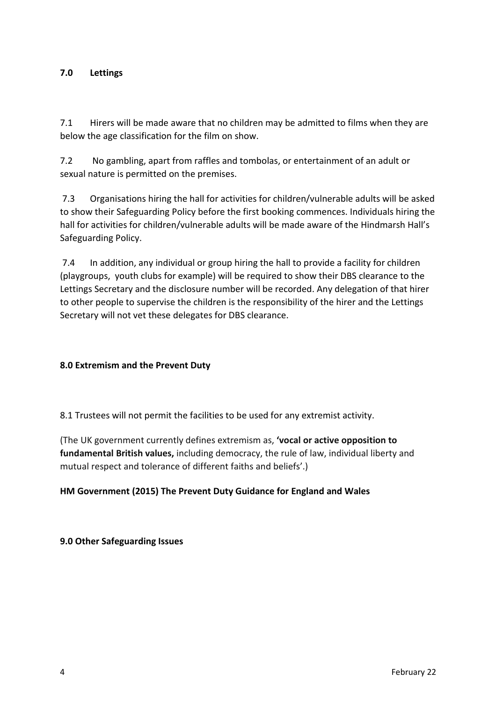#### **7.0 Lettings**

7.1 Hirers will be made aware that no children may be admitted to films when they are below the age classification for the film on show.

7.2 No gambling, apart from raffles and tombolas, or entertainment of an adult or sexual nature is permitted on the premises.

 7.3 Organisations hiring the hall for activities for children/vulnerable adults will be asked to show their Safeguarding Policy before the first booking commences. Individuals hiring the hall for activities for children/vulnerable adults will be made aware of the Hindmarsh Hall's Safeguarding Policy.

 7.4 In addition, any individual or group hiring the hall to provide a facility for children (playgroups, youth clubs for example) will be required to show their DBS clearance to the Lettings Secretary and the disclosure number will be recorded. Any delegation of that hirer to other people to supervise the children is the responsibility of the hirer and the Lettings Secretary will not vet these delegates for DBS clearance.

#### **8.0 Extremism and the Prevent Duty**

8.1 Trustees will not permit the facilities to be used for any extremist activity.

(The UK government currently defines extremism as, **'vocal or active opposition to fundamental British values,** including democracy, the rule of law, individual liberty and mutual respect and tolerance of different faiths and beliefs'.)

#### **HM Government (2015) The Prevent Duty Guidance for England and Wales**

**9.0 Other Safeguarding Issues**